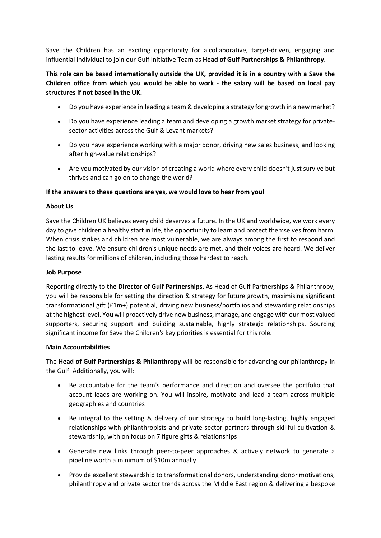Save the Children has an exciting opportunity for a collaborative, target-driven, engaging and influential individual to join our Gulf Initiative Team as **Head of Gulf Partnerships & Philanthropy.** 

# **This role can be based internationally outside the UK, provided it is in a country with a Save the Children office from which you would be able to work - the salary will be based on local pay structures if not based in the UK.**

- Do you have experience in leading a team & developing a strategy for growth in a new market?
- Do you have experience leading a team and developing a growth market strategy for privatesector activities across the Gulf & Levant markets?
- Do you have experience working with a major donor, driving new sales business, and looking after high-value relationships?
- Are you motivated by our vision of creating a world where every child doesn't just survive but thrives and can go on to change the world?

## **If the answers to these questions are yes, we would love to hear from you!**

## **About Us**

Save the Children UK believes every child deserves a future. In the UK and worldwide, we work every day to give children a healthy start in life, the opportunity to learn and protect themselves from harm. When crisis strikes and children are most vulnerable, we are always among the first to respond and the last to leave. We ensure children's unique needs are met, and their voices are heard. We deliver lasting results for millions of children, including those hardest to reach.

#### **Job Purpose**

Reporting directly to **the Director of Gulf Partnerships**, As Head of Gulf Partnerships & Philanthropy, you will be responsible for setting the direction & strategy for future growth, maximising significant transformational gift (£1m+) potential, driving new business/portfolios and stewarding relationships at the highest level. You will proactively drive new business, manage, and engage with our most valued supporters, securing support and building sustainable, highly strategic relationships. Sourcing significant income for Save the Children's key priorities is essential for this role.

#### **Main Accountabilities**

The **Head of Gulf Partnerships & Philanthropy** will be responsible for advancing our philanthropy in the Gulf. Additionally, you will:

- Be accountable for the team's performance and direction and oversee the portfolio that account leads are working on. You will inspire, motivate and lead a team across multiple geographies and countries
- Be integral to the setting & delivery of our strategy to build long-lasting, highly engaged relationships with philanthropists and private sector partners through skillful cultivation & stewardship, with on focus on 7 figure gifts & relationships
- Generate new links through peer-to-peer approaches & actively network to generate a pipeline worth a minimum of \$10m annually
- Provide excellent stewardship to transformational donors, understanding donor motivations, philanthropy and private sector trends across the Middle East region & delivering a bespoke